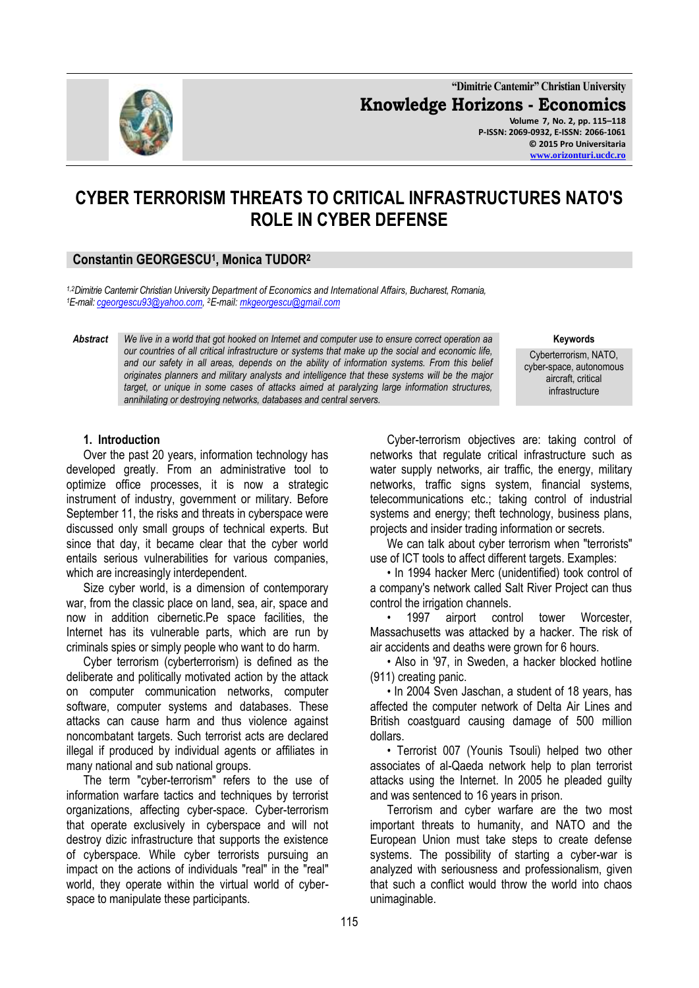

**"Dimitrie Cantemir" Christian University Knowledge Horizons - Economics Volume 7, No. 2, pp. 115–118 P-ISSN: 2069-0932, E-ISSN: 2066-1061 © 2015 Pro Universitaria [www.orizonturi.ucdc.ro](http://www.orizonturi.ucdc.ro/)**

# **CYBER TERRORISM THREATS TO CRITICAL INFRASTRUCTURES NATO'S ROLE IN CYBER DEFENSE**

## **Constantin GEORGESCU<sup>1</sup> , Monica TUDOR<sup>2</sup>**

*1,2Dimitrie Cantemir Christian University Department of Economics and International Affairs, Bucharest, Romania, <sup>1</sup>E-mail[: cgeorgescu93@yahoo.com,](mailto:cgeorgescu93@yahoo.com)  <sup>2</sup>E-mail[: mkgeorgescu@gmail.com](mailto:mkgeorgescu@gmail.com)*

*Abstract We live in a world that got hooked on Internet and computer use to ensure correct operation aa our countries of all critical infrastructure or systems that make up the social and economic life, and our safety in all areas, depends on the ability of information systems. From this belief originates planners and military analysts and intelligence that these systems will be the major target, or unique in some cases of attacks aimed at paralyzing large information structures, annihilating or destroying networks, databases and central servers.*

**Keywords**

Cyberterrorism, NATO, cyber-space, autonomous aircraft, critical infrastructure

#### **1. Introduction**

Over the past 20 years, information technology has developed greatly. From an administrative tool to optimize office processes, it is now a strategic instrument of industry, government or military. Before September 11, the risks and threats in cyberspace were discussed only small groups of technical experts. But since that day, it became clear that the cyber world entails serious vulnerabilities for various companies, which are increasingly interdependent.

Size cyber world, is a dimension of contemporary war, from the classic place on land, sea, air, space and now in addition cibernetic.Pe space facilities, the Internet has its vulnerable parts, which are run by criminals spies or simply people who want to do harm.

Cyber terrorism (cyberterrorism) is defined as the deliberate and politically motivated action by the attack on computer communication networks, computer software, computer systems and databases. These attacks can cause harm and thus violence against noncombatant targets. Such terrorist acts are declared illegal if produced by individual agents or affiliates in many national and sub national groups.

The term "cyber-terrorism" refers to the use of information warfare tactics and techniques by terrorist organizations, affecting cyber-space. Cyber-terrorism that operate exclusively in cyberspace and will not destroy dizic infrastructure that supports the existence of cyberspace. While cyber terrorists pursuing an impact on the actions of individuals "real" in the "real" world, they operate within the virtual world of cyberspace to manipulate these participants.

Cyber-terrorism objectives are: taking control of networks that regulate critical infrastructure such as water supply networks, air traffic, the energy, military networks, traffic signs system, financial systems, telecommunications etc.; taking control of industrial systems and energy; theft technology, business plans, projects and insider trading information or secrets.

We can talk about cyber terrorism when "terrorists" use of ICT tools to affect different targets. Examples:

• In 1994 hacker Merc (unidentified) took control of a company's network called Salt River Project can thus control the irrigation channels.

1997 airport control tower Worcester, Massachusetts was attacked by a hacker. The risk of air accidents and deaths were grown for 6 hours.

• Also in '97, in Sweden, a hacker blocked hotline (911) creating panic.

• In 2004 Sven Jaschan, a student of 18 years, has affected the computer network of Delta Air Lines and British coastguard causing damage of 500 million dollars.

• Terrorist 007 (Younis Tsouli) helped two other associates of al-Qaeda network help to plan terrorist attacks using the Internet. In 2005 he pleaded guilty and was sentenced to 16 years in prison.

Terrorism and cyber warfare are the two most important threats to humanity, and NATO and the European Union must take steps to create defense systems. The possibility of starting a cyber-war is analyzed with seriousness and professionalism, given that such a conflict would throw the world into chaos unimaginable.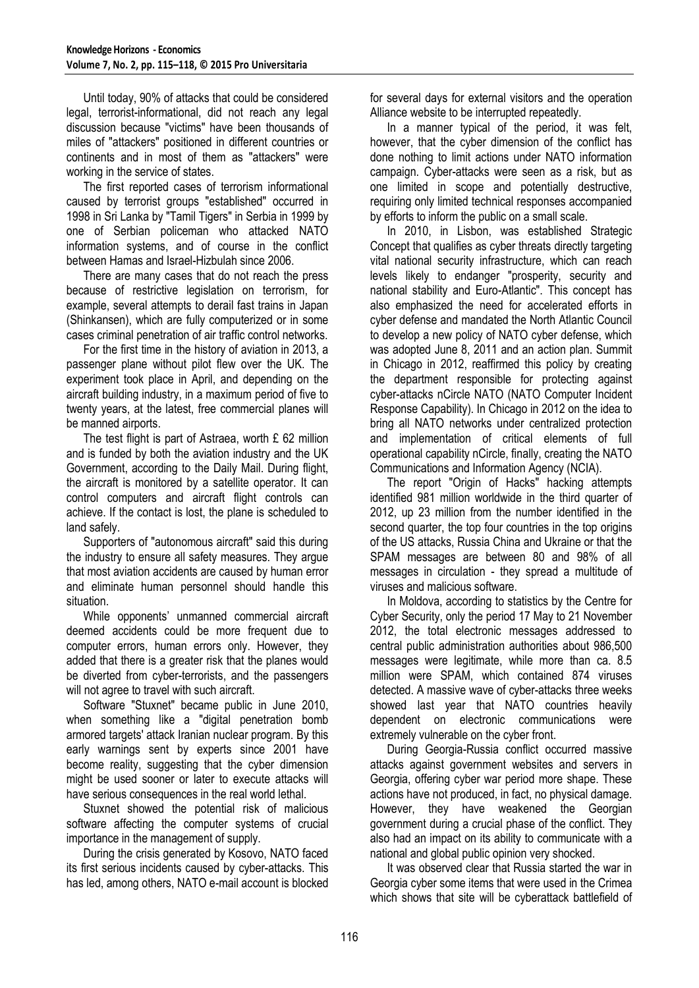Until today, 90% of attacks that could be considered legal, terrorist-informational, did not reach any legal discussion because "victims" have been thousands of miles of "attackers" positioned in different countries or continents and in most of them as "attackers" were working in the service of states.

The first reported cases of terrorism informational caused by terrorist groups "established" occurred in 1998 in Sri Lanka by "Tamil Tigers" in Serbia in 1999 by one of Serbian policeman who attacked NATO information systems, and of course in the conflict between Hamas and Israel-Hizbulah since 2006.

There are many cases that do not reach the press because of restrictive legislation on terrorism, for example, several attempts to derail fast trains in Japan (Shinkansen), which are fully computerized or in some cases criminal penetration of air traffic control networks.

For the first time in the history of aviation in 2013, a passenger plane without pilot flew over the UK. The experiment took place in April, and depending on the aircraft building industry, in a maximum period of five to twenty years, at the latest, free commercial planes will be manned airports.

The test flight is part of Astraea, worth £ 62 million and is funded by both the aviation industry and the UK Government, according to the Daily Mail. During flight, the aircraft is monitored by a satellite operator. It can control computers and aircraft flight controls can achieve. If the contact is lost, the plane is scheduled to land safely.

Supporters of "autonomous aircraft" said this during the industry to ensure all safety measures. They argue that most aviation accidents are caused by human error and eliminate human personnel should handle this situation.

While opponents' unmanned commercial aircraft deemed accidents could be more frequent due to computer errors, human errors only. However, they added that there is a greater risk that the planes would be diverted from cyber-terrorists, and the passengers will not agree to travel with such aircraft.

Software "Stuxnet" became public in June 2010, when something like a "digital penetration bomb armored targets' attack Iranian nuclear program. By this early warnings sent by experts since 2001 have become reality, suggesting that the cyber dimension might be used sooner or later to execute attacks will have serious consequences in the real world lethal.

Stuxnet showed the potential risk of malicious software affecting the computer systems of crucial importance in the management of supply.

During the crisis generated by Kosovo, NATO faced its first serious incidents caused by cyber-attacks. This has led, among others, NATO e-mail account is blocked for several days for external visitors and the operation Alliance website to be interrupted repeatedly.

In a manner typical of the period, it was felt, however, that the cyber dimension of the conflict has done nothing to limit actions under NATO information campaign. Cyber-attacks were seen as a risk, but as one limited in scope and potentially destructive, requiring only limited technical responses accompanied by efforts to inform the public on a small scale.

In 2010, in Lisbon, was established Strategic Concept that qualifies as cyber threats directly targeting vital national security infrastructure, which can reach levels likely to endanger "prosperity, security and national stability and Euro-Atlantic". This concept has also emphasized the need for accelerated efforts in cyber defense and mandated the North Atlantic Council to develop a new policy of NATO cyber defense, which was adopted June 8, 2011 and an action plan. Summit in Chicago in 2012, reaffirmed this policy by creating the department responsible for protecting against cyber-attacks nCircle NATO (NATO Computer Incident Response Capability). In Chicago in 2012 on the idea to bring all NATO networks under centralized protection and implementation of critical elements of full operational capability nCircle, finally, creating the NATO Communications and Information Agency (NCIA).

The report "Origin of Hacks" hacking attempts identified 981 million worldwide in the third quarter of 2012, up 23 million from the number identified in the second quarter, the top four countries in the top origins of the US attacks, Russia China and Ukraine or that the SPAM messages are between 80 and 98% of all messages in circulation - they spread a multitude of viruses and malicious software.

In Moldova, according to statistics by the Centre for Cyber Security, only the period 17 May to 21 November 2012, the total electronic messages addressed to central public administration authorities about 986,500 messages were legitimate, while more than ca. 8.5 million were SPAM, which contained 874 viruses detected. A massive wave of cyber-attacks three weeks showed last year that NATO countries heavily dependent on electronic communications were extremely vulnerable on the cyber front.

During Georgia-Russia conflict occurred massive attacks against government websites and servers in Georgia, offering cyber war period more shape. These actions have not produced, in fact, no physical damage. However, they have weakened the Georgian government during a crucial phase of the conflict. They also had an impact on its ability to communicate with a national and global public opinion very shocked.

It was observed clear that Russia started the war in Georgia cyber some items that were used in the Crimea which shows that site will be cyberattack battlefield of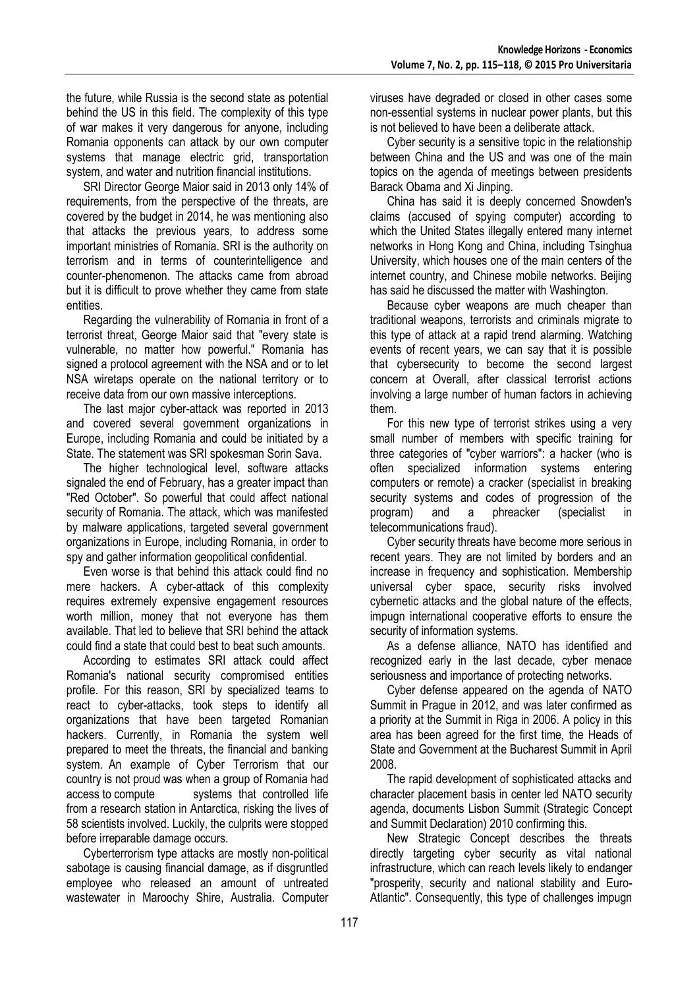the future, while Russia is the second state as potential behind the US in this field. The complexity of this type of war makes it very dangerous for anyone, including Romania opponents can attack by our own computer systems that manage electric grid, transportation system, and water and nutrition financial institutions.

SRI Director George Maior said in 2013 only 14% of requirements, from the perspective of the threats, are covered by the budget in 2014, he was mentioning also that attacks the previous years, to address some important ministries of Romania. SRI is the authority on terrorism and in terms of counterintelligence and counter-phenomenon. The attacks came from abroad but it is difficult to prove whether they came from state entities.

Regarding the vulnerability of Romania in front of a terrorist threat, George Maior said that "every state is vulnerable, no matter how powerful." Romania has signed a protocol agreement with the NSA and or to let NSA wiretaps operate on the national territory or to receive data from our own massive interceptions.

The last major cyber-attack was reported in 2013 and covered several government organizations in Europe, including Romania and could be initiated by a State. The statement was SRI spokesman Sorin Sava.

The higher technological level, software attacks signaled the end of February, has a greater impact than "Red October". So powerful that could affect national security of Romania. The attack, which was manifested by malware applications, targeted several government organizations in Europe, including Romania, in order to spy and gather information geopolitical confidential.

Even worse is that behind this attack could find no mere hackers. A cyber-attack of this complexity requires extremely expensive engagement resources worth million, money that not everyone has them available. That led to believe that SRI behind the attack could find a state that could best to beat such amounts.

According to estimates SRI attack could affect Romania's national security compromised entities profile. For this reason, SRI by specialized teams to react to cyber-attacks, took steps to identify all organizations that have been targeted Romanian hackers. Currently, in Romania the system well prepared to meet the threats, the financial and banking system. An example of Cyber Terrorism that our country is not proud was when a group of Romania had access to compute systems that controlled life from a research station in Antarctica, risking the lives of 58 scientists involved. Luckily, the culprits were stopped before irreparable damage occurs.

Cyberterrorism type attacks are mostly non-political sabotage is causing financial damage, as if disgruntled employee who released an amount of untreated wastewater in Maroochy Shire, Australia. Computer

viruses have degraded or closed in other cases some non-essential systems in nuclear power plants, but this is not believed to have been a deliberate attack.

Cyber security is a sensitive topic in the relationship between China and the US and was one of the main topics on the agenda of meetings between presidents Barack Obama and Xi Jinping.

China has said it is deeply concerned Snowden's claims (accused of spying computer) according to which the United States illegally entered many internet networks in Hong Kong and China, including Tsinghua University, which houses one of the main centers of the internet country, and Chinese mobile networks. Beijing has said he discussed the matter with Washington.

Because cyber weapons are much cheaper than traditional weapons, terrorists and criminals migrate to this type of attack at a rapid trend alarming. Watching events of recent years, we can say that it is possible that cybersecurity to become the second largest concern at Overall, after classical terrorist actions involving a large number of human factors in achieving them.

For this new type of terrorist strikes using a very small number of members with specific training for three categories of "cyber warriors": a hacker (who is often specialized information systems entering computers or remote) a cracker (specialist in breaking security systems and codes of progression of the program) and a phreacker (specialist in telecommunications fraud).

Cyber security threats have become more serious in recent years. They are not limited by borders and an increase in frequency and sophistication. Membership universal cyber space, security risks involved cybernetic attacks and the global nature of the effects, impugn international cooperative efforts to ensure the security of information systems.

As a defense alliance, NATO has identified and recognized early in the last decade, cyber menace seriousness and importance of protecting networks.

Cyber defense appeared on the agenda of NATO Summit in Prague in 2012, and was later confirmed as a priority at the Summit in Riga in 2006. A policy in this area has been agreed for the first time, the Heads of State and Government at the Bucharest Summit in April 2008.

The rapid development of sophisticated attacks and character placement basis in center led NATO security agenda, documents Lisbon Summit (Strategic Concept and Summit Declaration) 2010 confirming this.

New Strategic Concept describes the threats directly targeting cyber security as vital national infrastructure, which can reach levels likely to endanger "prosperity, security and national stability and Euro-Atlantic". Consequently, this type of challenges impugn